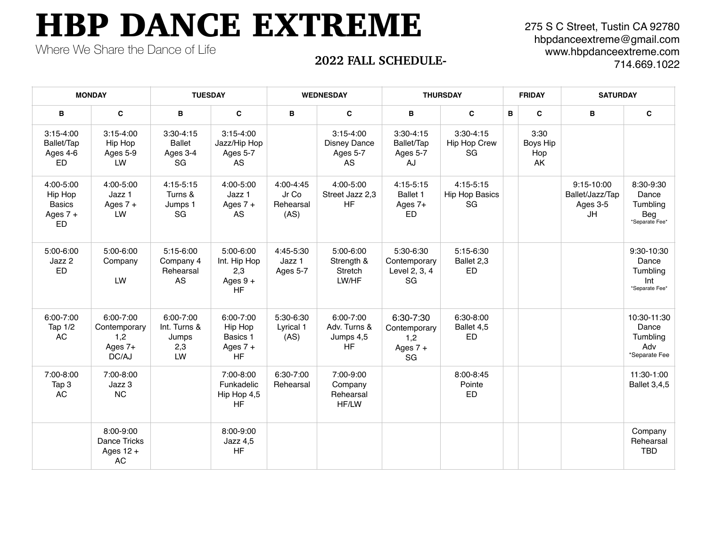## HBP DANCE EXTREME

Where We Share the Dance of Life

275 S C Street, Tustin CA 92780 hbpdanceextreme@gmail.com www.hbpdanceextreme.com 714.669.1022

## **2022 FALL SCHEDULE-**

| <b>MONDAY</b>                                             |                                                        | <b>TUESDAY</b>                                  |                                                             | <b>WEDNESDAY</b>                        |                                                               | <b>THURSDAY</b>                                      |                                            | <b>FRIDAY</b>                 | <b>SATURDAY</b>                                 |                                                          |
|-----------------------------------------------------------|--------------------------------------------------------|-------------------------------------------------|-------------------------------------------------------------|-----------------------------------------|---------------------------------------------------------------|------------------------------------------------------|--------------------------------------------|-------------------------------|-------------------------------------------------|----------------------------------------------------------|
| в                                                         | C                                                      | B                                               | C                                                           | B                                       | C                                                             | в                                                    | $\mathbf{c}$<br>B                          | C                             | B                                               | C                                                        |
| $3:15 - 4:00$<br>Ballet/Tap<br>Ages 4-6<br><b>ED</b>      | $3:15 - 4:00$<br>Hip Hop<br>Ages 5-9<br>LW             | $3:30-4:15$<br><b>Ballet</b><br>Ages 3-4<br>SG  | $3:15 - 4:00$<br>Jazz/Hip Hop<br>Ages 5-7<br>AS             |                                         | $3:15 - 4:00$<br><b>Disney Dance</b><br>Ages 5-7<br><b>AS</b> | $3:30-4:15$<br>Ballet/Tap<br>Ages 5-7<br>AJ          | $3:30 - 4:15$<br>Hip Hop Crew<br>SG        | 3:30<br>Boys Hip<br>Hop<br>AK |                                                 |                                                          |
| 4:00-5:00<br>Hip Hop<br><b>Basics</b><br>Ages $7 +$<br>ED | 4:00-5:00<br>Jazz 1<br>Ages $7 +$<br>LW                | $4:15 - 5:15$<br>Turns &<br>Jumps 1<br>SG       | 4:00-5:00<br>Jazz 1<br>Ages $7 +$<br>AS                     | 4:00-4:45<br>Jr Co<br>Rehearsal<br>(AS) | 4:00-5:00<br>Street Jazz 2,3<br><b>HF</b>                     | $4:15-5:15$<br>Ballet 1<br>Ages 7+<br><b>ED</b>      | $4:15-5:15$<br><b>Hip Hop Basics</b><br>SG |                               | 9:15-10:00<br>Ballet/Jazz/Tap<br>Ages 3-5<br>JH | 8:30-9:30<br>Dance<br>Tumbling<br>Beg<br>*Separate Fee*  |
| $5:00 - 6:00$<br>Jazz 2<br>ED.                            | 5:00-6:00<br>Company<br>LW                             | 5:15-6:00<br>Company 4<br>Rehearsal<br>AS       | 5:00-6:00<br>Int. Hip Hop<br>2,3<br>Ages $9 +$<br><b>HF</b> | 4:45-5:30<br>Jazz 1<br>Ages 5-7         | 5:00-6:00<br>Strength &<br>Stretch<br>LW/HF                   | 5:30-6:30<br>Contemporary<br>Level 2, 3, 4<br>SG     | 5:15-6:30<br>Ballet 2,3<br><b>ED</b>       |                               |                                                 | 9:30-10:30<br>Dance<br>Tumbling<br>Int<br>*Separate Fee* |
| 6:00-7:00<br>Tap 1/2<br>AC                                | 6:00-7:00<br>Contemporary<br>1,2<br>Ages $7+$<br>DC/AJ | 6:00-7:00<br>Int. Turns &<br>Jumps<br>2,3<br>LW | 6:00-7:00<br>Hip Hop<br>Basics 1<br>Ages $7 +$<br><b>HF</b> | 5:30-6:30<br>Lyrical 1<br>(AS)          | 6:00-7:00<br>Adv. Turns &<br>Jumps 4,5<br><b>HF</b>           | 6:30-7:30<br>Contemporary<br>1,2<br>Ages $7 +$<br>SG | 6:30-8:00<br>Ballet 4,5<br><b>ED</b>       |                               |                                                 | 10:30-11:30<br>Dance<br>Tumbling<br>Adv<br>*Separate Fee |
| 7:00-8:00<br>Tap 3<br>AC                                  | 7:00-8:00<br>Jazz 3<br><b>NC</b>                       |                                                 | 7:00-8:00<br>Funkadelic<br>Hip Hop 4,5<br><b>HF</b>         | 6:30-7:00<br>Rehearsal                  | 7:00-9:00<br>Company<br>Rehearsal<br>HF/LW                    |                                                      | 8:00-8:45<br>Pointe<br>ED                  |                               |                                                 | 11:30-1:00<br><b>Ballet 3,4,5</b>                        |
|                                                           | 8:00-9:00<br>Dance Tricks<br>Ages $12 +$<br>AC         |                                                 | 8:00-9:00<br>Jazz 4,5<br><b>HF</b>                          |                                         |                                                               |                                                      |                                            |                               |                                                 | Company<br>Rehearsal<br><b>TBD</b>                       |